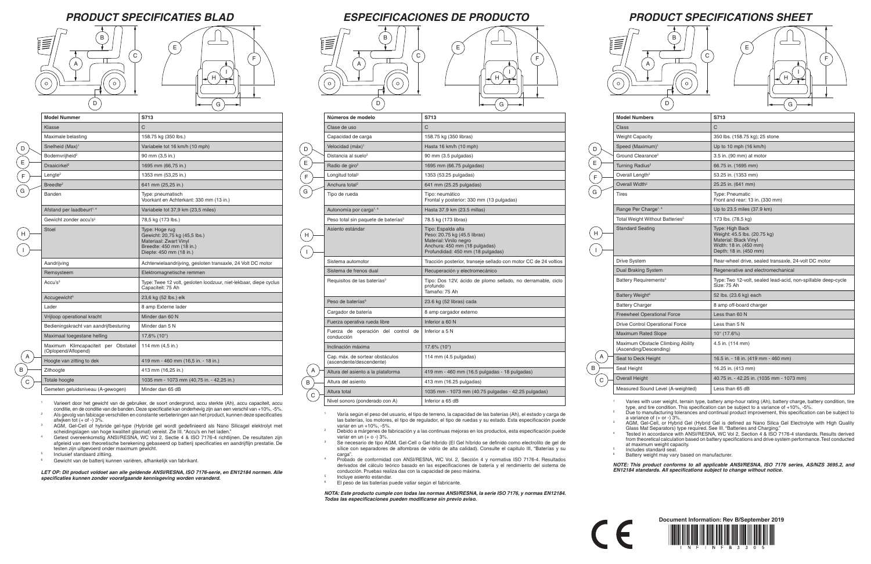# *PRODUCT SPECIFICATIONS SHEET*

| <b>Model Numbers</b>                                        | S713                                                                                                                         |
|-------------------------------------------------------------|------------------------------------------------------------------------------------------------------------------------------|
| Class                                                       | $\mathsf{C}$                                                                                                                 |
| <b>Weight Capacity</b>                                      | 350 lbs. (158.75 kg); 25 stone                                                                                               |
| Speed (Maximum) <sup>1</sup>                                | Up to 10 mph (16 km/h)                                                                                                       |
| Ground Clearance <sup>2</sup>                               | 3.5 in. (90 mm) at motor                                                                                                     |
| Turning Radius <sup>2</sup>                                 | 66.75 in. (1695 mm)                                                                                                          |
| Overall Length <sup>2</sup>                                 | 53.25 in. (1353 mm)                                                                                                          |
| Overall Width <sup>2</sup>                                  | 25.25 in. (641 mm)                                                                                                           |
| Tires                                                       | Type: Pneumatic<br>Front and rear: 13 in. (330 mm)                                                                           |
| Range Per Charge <sup>1, 4</sup>                            | Up to 23.5 miles (37.9 km)                                                                                                   |
| Total Weight Without Batteries <sup>5</sup>                 | 173 lbs. (78.5 kg)                                                                                                           |
| <b>Standard Seating</b>                                     | Type: High Back<br>Weight: 45.5 lbs. (20.75 kg)<br>Material: Black Vinyl<br>Width: 18 in. (450 mm)<br>Depth: 18 in. (450 mm) |
| Drive System                                                | Rear-wheel drive, sealed transaxle, 24-volt DC motor                                                                         |
| <b>Dual Braking System</b>                                  | Regenerative and electromechanical                                                                                           |
| Battery Requirements <sup>3</sup>                           | Type: Two 12-volt, sealed lead-acid, non-spillable deep-cycle<br>Size: 75 Ah                                                 |
| Battery Weight <sup>6</sup>                                 | 52 lbs. (23.6 kg) each                                                                                                       |
| <b>Battery Charger</b>                                      | 8 amp off-board charger                                                                                                      |
| <b>Freewheel Operational Force</b>                          | Less than 60 N                                                                                                               |
| <b>Drive Control Operational Force</b>                      | Less than 5 N                                                                                                                |
| <b>Maximum Rated Slope</b>                                  | $10^{\circ}$ (17.6%)                                                                                                         |
| Maximum Obstacle Climbing Ability<br>(Ascending/Descending) | 4.5 in. (114 mm)                                                                                                             |
| Seat to Deck Height                                         | 16.5 in. - 18 in. (419 mm - 460 mm)                                                                                          |
| Seat Height                                                 | 16.25 in. (413 mm)                                                                                                           |
| <b>Overall Height</b>                                       | 40.75 in. - 42.25 in. (1035 mm - 1073 mm)                                                                                    |
| Measured Sound Level (A-weighted)                           | Less than 65 dB                                                                                                              |

Varies with user weight, terrain type, battery amp-hour rating (Ah), battery charge, battery condition, tire type, and tire condition. This specification can be subject to a variance of +10%, -5%. <sup>2</sup> Due to manufacturing tolerances and continual product improvement, this specification can be subject to a variance of (+ or -) 3%.

Tested in accordance with ANSI/RESNA, WC Vol 2, Section 4 & ISO 7176-4 standards. Results derived from theoretical calculation based on battery specifications and drive system performance. Test conducted at maximum weight capacity. <sup>5</sup> Includes standard seat.

Battery weight may vary based on manufacturer.

### *PRODUCT SPECIFICATIES BLAD ESPECIFICACIONES DE PRODUCTO*

<sup>3</sup> AGM, Gel-Cell, or Hybrid Gel (Hybrid Gel is defined as Nano Silica Gel Electrolyte with High Quality Glass Mat Separators) type required. See III. "Batteries and Charging."

A B  $\left($  C  $\right)$ 

> <sup>2</sup> Debido a márgenes de fabricación y a las continuas mejoras en los productos, esta especificación puede variar en un  $(+ 0 - 3\%$ .

> > *NOTE: This product conforms to all applicable ANSI/RESNA, ISO 7176 series, AS/NZS 3695.2, and EN12184 standards. All specifications subject to change without notice.*

|              | Números de modelo                                           | S713                                                                                                                                               |  |
|--------------|-------------------------------------------------------------|----------------------------------------------------------------------------------------------------------------------------------------------------|--|
| Clase de uso |                                                             | C                                                                                                                                                  |  |
|              | Capacidad de carga                                          | 158.75 kg (350 libras)                                                                                                                             |  |
|              | Velocidad (máx) <sup>1</sup>                                | Hasta 16 km/h (10 mph)                                                                                                                             |  |
|              | Distancia al suelo <sup>2</sup>                             | 90 mm (3.5 pulgadas)                                                                                                                               |  |
|              | Radio de giro <sup>2</sup>                                  | 1695 mm (66.75 pulgadas)                                                                                                                           |  |
|              | Longitud total <sup>2</sup>                                 | 1353 (53.25 pulgadas)                                                                                                                              |  |
|              | Anchura total <sup>2</sup>                                  | 641 mm (25.25 pulgadas)                                                                                                                            |  |
|              | Tipo de rueda                                               | Tipo: neumático<br>Frontal y posterior: 330 mm (13 pulgadas)                                                                                       |  |
|              | Autonomía por carga <sup>1, 4</sup>                         | Hasta 37.9 km (23.5 millas)                                                                                                                        |  |
|              | Peso total sin paquete de baterías <sup>5</sup>             | 78.5 kg (173 libras)                                                                                                                               |  |
|              | Asiento estándar                                            | Tipo: Espalda alta<br>Peso: 20.75 kg (45.5 libras)<br>Material: Vinilo negro<br>Anchura: 450 mm (18 pulgadas)<br>Profundidad: 450 mm (18 pulgadas) |  |
|              | Sistema automotor                                           | Tracción posterior, transeje sellado con motor CC de 24 voltios                                                                                    |  |
|              | Sistema de frenos dual                                      | Recuperación y electromecánico                                                                                                                     |  |
|              | Requisitos de las baterías <sup>3</sup>                     | Tipo: Dos 12V, ácido de plomo sellado, no derramable, ciclo<br>profundo<br>Tamaño: 75 Ah                                                           |  |
|              | Peso de baterías <sup>6</sup>                               | 23.6 kg (52 libras) cada                                                                                                                           |  |
|              | Cargador de batería                                         | 8 amp cargador externo                                                                                                                             |  |
|              | Fuerza operativa rueda libre                                | Inferior a 60 N                                                                                                                                    |  |
|              | Fuerza de operación del control de<br>conducción            | Inferior a 5 N                                                                                                                                     |  |
|              | Inclinación máxima                                          | $17.6\%$ (10 $^{\circ}$ )                                                                                                                          |  |
|              | Cap. máx. de sortear obstáculos<br>(ascendente/descendente) | 114 mm (4.5 pulgadas)                                                                                                                              |  |
|              | Altura del asiento a la plataforma                          | 419 mm - 460 mm (16.5 pulgadas - 18 pulgadas)                                                                                                      |  |
|              | Altura del asiento                                          | 413 mm (16.25 pulgadas)                                                                                                                            |  |
|              | Altura total                                                | 1035 mm - 1073 mm (40.75 pulgadas - 42.25 pulgadas)                                                                                                |  |
|              | Nivel sonoro (ponderado con A)                              | Inferior a 65 dB                                                                                                                                   |  |

afwjken tot  $(+$  of  $-$ ) 3%. <sup>3</sup> AGM, Gel-Cell of hybride gel-type (Hybride gel wordt gedefinieerd als Nano Silicagel elektrolyt met



Overall He **Measured** 

 $\overline{C}$ 

- 
- 
- 
- 
- 
- 
- 
- 

 $\epsilon$ 

H

I

El peso de las baterías puede vatiar según el fabricante.

<sup>1</sup> Varía según el peso del usuario, el tipo de terreno, la capacidad de las baterías (Ah), el estado y carga de las baterías, los motores, el tipo de regulador, el tipo de ruedas y su estado. Esta especificación puede variar en un +10%, -5%.

<sup>3</sup> Se necesario de tipo AGM, Gel-Cell o Gel híbrido (El Gel híbrido se definido como electrolito de gel de sílice con separadores de alfombras de vidrio de alta calidad). Consulte el capitulo III, "Baterías y su carga".

<sup>4</sup> Probado de conformidad con ANSI/RESNA, WC Vol. 2, Sección 4 y normativa ISO 7176-4. Resultados derivados del cálculo teórico basado en las especificaciones de batería y el rendimiento del sistema de conducción. Pruebas realiza das con la capacidad de peso máxima.

Incluye asiento estandar.

*NOTA: Este producto cumple con todas las normas ANSI/RESNA, la serie ISO 7176, y normas EN12184. Todas las especificaciones pueden modificarse sin previo aviso.*



| <b>Model Nummer</b>                                        | S713                                                                                                                             |
|------------------------------------------------------------|----------------------------------------------------------------------------------------------------------------------------------|
| Klasse                                                     | C                                                                                                                                |
| Maximale belasting                                         | 158.75 kg (350 lbs.)                                                                                                             |
| Snelheid (Max) <sup>1</sup>                                | Variabele tot 16 km/h (10 mph)                                                                                                   |
| Bodemvrijheid <sup>2</sup>                                 | 90 mm (3,5 in.)                                                                                                                  |
| Draaicirkel <sup>2</sup>                                   | 1695 mm (66,75 in.)                                                                                                              |
| $L$ engte <sup>2</sup>                                     | 1353 mm (53,25 in.)                                                                                                              |
| Breedte <sup>2</sup>                                       | 641 mm (25,25 in.)                                                                                                               |
| Banden                                                     | Type: pneumatisch<br>Voorkant en Achterkant: 330 mm (13 in.)                                                                     |
| Afstand per laadbeurt <sup>1, 4</sup>                      | Variabele tot 37,9 km (23,5 miles)                                                                                               |
| Gewicht zonder accu's <sup>5</sup>                         | 78,5 kg (173 lbs.)                                                                                                               |
| Stoel                                                      | Type: Hoge rug<br>Gewicht: 20,75 kg (45,5 lbs.)<br>Materiaal: Zwart Vinyl<br>Breedte: 450 mm (18 in.)<br>Diepte: 450 mm (18 in.) |
| Aandrijving                                                | Achterwielaandrijving, gesloten transaxle, 24 Volt DC motor                                                                      |
| Remsysteem                                                 | Elektromagnetische remmen                                                                                                        |
| Accu's <sup>3</sup>                                        | Type: Twee 12 volt, gesloten loodzuur, niet-lekbaar, diepe cyclus<br>Capaciteit: 75 Ah                                           |
| Accugewicht <sup>6</sup>                                   | 23,6 kg (52 lbs.) elk                                                                                                            |
| Lader                                                      | 8 amp Externe lader                                                                                                              |
| Vrijloop operational kracht                                | Minder dan 60 N                                                                                                                  |
| Bedieningskracht van aandrijfbesturing                     | Minder dan 5 N                                                                                                                   |
| Maximaal toegestane helling                                | $17,6\%$ (10 $^{\circ}$ )                                                                                                        |
| Maximum Klimcapaciteit per Obstakel<br>(Oplopend/Aflopend) | 114 mm (4,5 in.)                                                                                                                 |
| Hoogte van zitting to dek                                  | 419 mm - 460 mm (16,5 in. - 18 in.)                                                                                              |
| Zithoogte                                                  | 413 mm (16,25 in.)                                                                                                               |
| Totale hoogte                                              | 1035 mm - 1073 mm (40,75 in. - 42,25 in.)                                                                                        |
| Gemeten geluidsniveau (A-gewogen)                          | Minder dan 65 dB                                                                                                                 |
|                                                            |                                                                                                                                  |

<sup>1</sup> Varieert door het gewicht van de gebruiker, de soort ondergrond, accu sterkte (Ah), accu capaciteit, accu conditie, en de conditie van de banden. Deze specificatie kan onderhevig zijn aan een verschil van +10%, -5%. <sup>2</sup> Als gevolg van fabicage verschillen en constante verbeteringen aan het product, kunnen deze specificaties

scheidingslagen van hoge kwaliteit glasmat) vereist. Zie III. "Accu's en het laden."

<sup>4</sup> Getest overeenkomstig ANSI/RESNA, WC Vol 2, Sectie 4 & ISO 7176-4 richtlijnen. De resultaten zijn afgeleid van een theoretische berekening gebaseerd op batterij specificaties en aandrijflijn prestatie. De testen zijn uitgevoerd onder maximum gewicht.

<sup>5</sup> Inclusief standaard zittiing.

<sup>6</sup> Gewicht van de batterij kunnen variëren, afhankelijk van fabrikant.

*LET OP: Dit product voldoet aan alle geldende ANSI/RESNA, ISO 7176-serie, en EN12184 normen. Alle specificaties kunnen zonder voorafgaande kennisgeving worden veranderd.*





E E

E



| $\overline{H}$ | F |  |
|----------------|---|--|
| G              |   |  |







B

H

I

D E F 厚

 $\sqrt{\circ}$ 

G

D E F

G